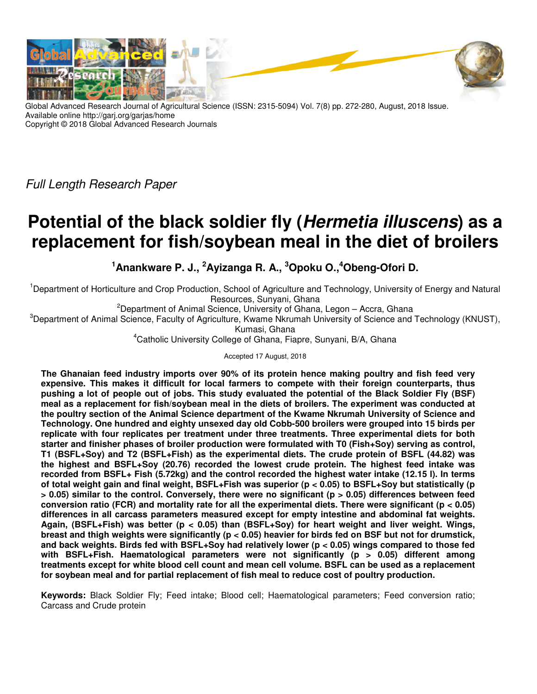

Global Advanced Research Journal of Agricultural Science (ISSN: 2315-5094) Vol. 7(8) pp. 272-280, August, 2018 Issue. Available online http://garj.org/garjas/home Copyright © 2018 Global Advanced Research Journals

*Full Length Research Paper*

# **Potential of the black soldier fly (Hermetia illuscens) as a replacement for fish/soybean meal in the diet of broilers**

**<sup>1</sup>Anankware P. J., <sup>2</sup>Ayizanga R. A., <sup>3</sup>Opoku O.,<sup>4</sup>Obeng-Ofori D.** 

<sup>1</sup>Department of Horticulture and Crop Production, School of Agriculture and Technology, University of Energy and Natural Resources, Sunyani, Ghana

<sup>2</sup>Department of Animal Science, University of Ghana, Legon  $-$  Accra, Ghana

<sup>3</sup>Department of Animal Science, Faculty of Agriculture, Kwame Nkrumah University of Science and Technology (KNUST),

Kumasi, Ghana

<sup>4</sup>Catholic University College of Ghana, Fiapre, Sunyani, B/A, Ghana

Accepted 17 August, 2018

**The Ghanaian feed industry imports over 90% of its protein hence making poultry and fish feed very expensive. This makes it difficult for local farmers to compete with their foreign counterparts, thus pushing a lot of people out of jobs. This study evaluated the potential of the Black Soldier Fly (BSF) meal as a replacement for fish/soybean meal in the diets of broilers. The experiment was conducted at the poultry section of the Animal Science department of the Kwame Nkrumah University of Science and Technology. One hundred and eighty unsexed day old Cobb-500 broilers were grouped into 15 birds per replicate with four replicates per treatment under three treatments. Three experimental diets for both starter and finisher phases of broiler production were formulated with T0 (Fish+Soy) serving as control, T1 (BSFL+Soy) and T2 (BSFL+Fish) as the experimental diets. The crude protein of BSFL (44.82) was the highest and BSFL+Soy (20.76) recorded the lowest crude protein. The highest feed intake was recorded from BSFL+ Fish (5.72kg) and the control recorded the highest water intake (12.15 l). In terms of total weight gain and final weight, BSFL+Fish was superior (p < 0.05) to BSFL+Soy but statistically (p > 0.05) similar to the control. Conversely, there were no significant (p > 0.05) differences between feed conversion ratio (FCR) and mortality rate for all the experimental diets. There were significant (p < 0.05) differences in all carcass parameters measured except for empty intestine and abdominal fat weights. Again, (BSFL+Fish) was better (p < 0.05) than (BSFL+Soy) for heart weight and liver weight. Wings, breast and thigh weights were significantly (p < 0.05) heavier for birds fed on BSF but not for drumstick, and back weights. Birds fed with BSFL+Soy had relatively lower (p < 0.05) wings compared to those fed with BSFL+Fish. Haematological parameters were not significantly (p > 0.05) different among treatments except for white blood cell count and mean cell volume. BSFL can be used as a replacement for soybean meal and for partial replacement of fish meal to reduce cost of poultry production.** 

**Keywords:** Black Soldier Fly; Feed intake; Blood cell; Haematological parameters; Feed conversion ratio; Carcass and Crude protein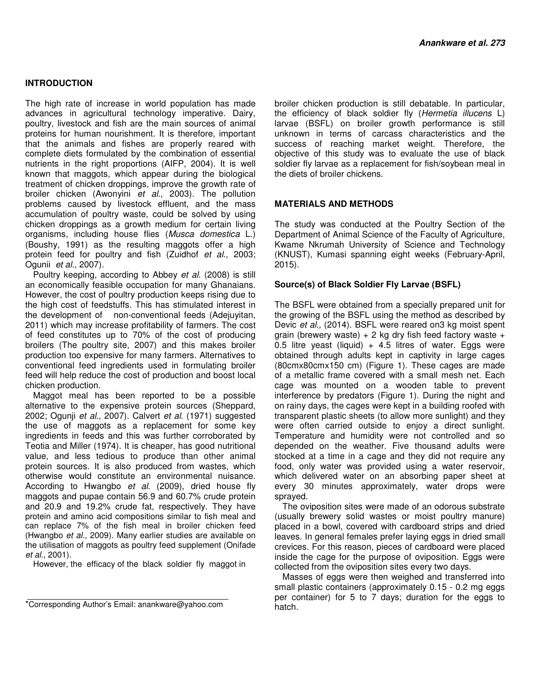# **INTRODUCTION**

The high rate of increase in world population has made advances in agricultural technology imperative. Dairy, poultry, livestock and fish are the main sources of animal proteins for human nourishment. It is therefore, important that the animals and fishes are properly reared with complete diets formulated by the combination of essential nutrients in the right proportions (AIFP, 2004). It is well known that maggots, which appear during the biological treatment of chicken droppings, improve the growth rate of broiler chicken (Awonyini *et al*., 2003). The pollution problems caused by livestock effluent, and the mass accumulation of poultry waste, could be solved by using chicken droppings as a growth medium for certain living organisms, including house flies (*Musca domestica* L.) (Boushy, 1991) as the resulting maggots offer a high protein feed for poultry and fish (Zuidhof *et al*., 2003; Ogunii *et al.,* 2007).

Poultry keeping, according to Abbey *et al.* (2008) is still an economically feasible occupation for many Ghanaians. However, the cost of poultry production keeps rising due to the high cost of feedstuffs. This has stimulated interest in the development of non-conventional feeds (Adejuyitan, 2011) which may increase profitability of farmers. The cost of feed constitutes up to 70% of the cost of producing broilers (The poultry site, 2007) and this makes broiler production too expensive for many farmers. Alternatives to conventional feed ingredients used in formulating broiler feed will help reduce the cost of production and boost local chicken production.

Maggot meal has been reported to be a possible alternative to the expensive protein sources (Sheppard, 2002; Ogunji *et al*., 2007). Calvert *et al*. (1971) suggested the use of maggots as a replacement for some key ingredients in feeds and this was further corroborated by Teotia and Miller (1974). It is cheaper, has good nutritional value, and less tedious to produce than other animal protein sources. It is also produced from wastes, which otherwise would constitute an environmental nuisance. According to Hwangbo *et al.* (2009), dried house fly maggots and pupae contain 56.9 and 60.7% crude protein and 20.9 and 19.2% crude fat, respectively. They have protein and amino acid compositions similar to fish meal and can replace 7% of the fish meal in broiler chicken feed (Hwangbo *et al.,* 2009). Many earlier studies are available on the utilisation of maggots as poultry feed supplement (Onifade *et al.*, 2001).

However, the efficacy of the black soldier fly maggot in

broiler chicken production is still debatable. In particular, the efficiency of black soldier fly (*Hermetia illucens* L) larvae (BSFL) on broiler growth performance is still unknown in terms of carcass characteristics and the success of reaching market weight. Therefore, the objective of this study was to evaluate the use of black soldier fly larvae as a replacement for fish/soybean meal in the diets of broiler chickens.

# **MATERIALS AND METHODS**

The study was conducted at the Poultry Section of the Department of Animal Science of the Faculty of Agriculture, Kwame Nkrumah University of Science and Technology (KNUST), Kumasi spanning eight weeks (February-April, 2015).

# **Source(s) of Black Soldier Fly Larvae (BSFL)**

The BSFL were obtained from a specially prepared unit for the growing of the BSFL using the method as described by Devic *et al.,* (2014). BSFL were reared on3 kg moist spent grain (brewery waste)  $+ 2$  kg dry fish feed factory waste  $+$ 0.5 litre yeast (liquid)  $+$  4.5 litres of water. Eggs were obtained through adults kept in captivity in large cages (80cmx80cmx150 cm) (Figure 1). These cages are made of a metallic frame covered with a small mesh net. Each cage was mounted on a wooden table to prevent interference by predators (Figure 1). During the night and on rainy days, the cages were kept in a building roofed with transparent plastic sheets (to allow more sunlight) and they were often carried outside to enjoy a direct sunlight. Temperature and humidity were not controlled and so depended on the weather. Five thousand adults were stocked at a time in a cage and they did not require any food, only water was provided using a water reservoir, which delivered water on an absorbing paper sheet at every 30 minutes approximately, water drops were sprayed.

The oviposition sites were made of an odorous substrate (usually brewery solid wastes or moist poultry manure) placed in a bowl, covered with cardboard strips and dried leaves. In general females prefer laying eggs in dried small crevices. For this reason, pieces of cardboard were placed inside the cage for the purpose of oviposition. Eggs were collected from the oviposition sites every two days.

Masses of eggs were then weighed and transferred into small plastic containers (approximately 0.15 - 0.2 mg eggs per container) for 5 to 7 days; duration for the eggs to hatch.

<sup>\*</sup>Corresponding Author's Email: anankware@yahoo.com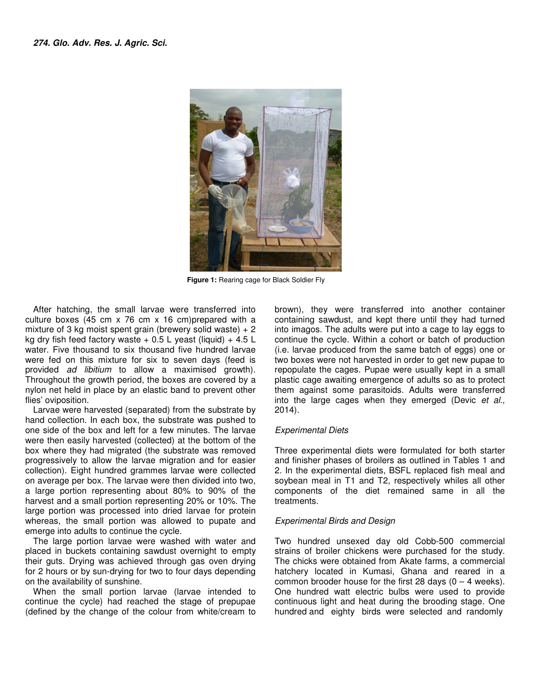

**Figure 1:** Rearing cage for Black Soldier Fly

After hatching, the small larvae were transferred into culture boxes (45 cm x 76 cm x 16 cm)prepared with a mixture of 3 kg moist spent grain (brewery solid waste) + 2 kg dry fish feed factory waste  $+$  0.5 L yeast (liquid)  $+$  4.5 L water. Five thousand to six thousand five hundred larvae were fed on this mixture for six to seven days (feed is provided ad libitium to allow a maximised growth). Throughout the growth period, the boxes are covered by a nylon net held in place by an elastic band to prevent other flies' oviposition. After hatching, the small larvae were transferred into culture boxes (45 cm x 76 cm x 16 cm)prepared with a mixture of 3 kg moist spent grain (brewery solid waste) + 2 kg dry fish feed factory waste + 0.5 L yeast (liquid)

Larvae were harvested (separated) from the substrate by hand collection. In each box, the substrate was pushed to one side of the box and left for a few minutes. The larvae were then easily harvested (collected) at the bottom of the box where they had migrated (the substrate was removed progressively to allow the larvae migration and collection). Eight hundred grammes larvae were collected on average per box. The larvae were then divided into two, a large portion representing about 80% to 90% of the harvest and a small portion representing 20% or 10%. The large portion was processed into dried larvae for protein whereas, the small portion was allowed to pupate and emerge into adults to continue the cycle. held in place by an elastic band to prevent other<br>psition.<br>were harvested (separated) from the substrate by<br>pection. In each box, the substrate was pushed to<br>of the box and left for a few minutes. The larvae the bottom of the<br>ate was removed<br>›n and for easier

The large portion larvae were washed with water and placed in buckets containing sawdust overnight to empty their guts. Drying was achieved through gas oven drying for 2 hours or by sun-drying for two to four days depending on the availability of sunshine.

When the small portion larvae (larvae intended to continue the cycle) had reached the stage of prepupae (defined by the change of the colour from white/cream to

atching, the small larvae were transferred into brown), they were transferred into acage to lary over the small representing and the small for the images. The adults were put linto acage to lay equass the positive provisio brown), they were transferred into another container<br>containing sawdust, and kept there until they had turned into imagos. The adults were put into a cage to lay eggs to continue the cycle. Within a cohort or batch of production (i.e. larvae produced from the same batch of eggs) one or two boxes were not harvested in order to get new pupae to repopulate the cages. Pupae were usually kept in a small plastic cage awaiting emergence of adults so as to protect into imagos. The adults were put into a cage to lay eggs to continue the cycle. Within a cohort or batch of production (i.e. larvae produced from the same batch of eggs) one or two boxes were not harvested in order to get into the large cages when they emerged (Devic *et al.,* 2014).

# *Experimental Diets*

Three experimental diets were formulated for both starter and finisher phases of broilers as outlined in Tables 1 and 2. In the experimental diets, BSFL replaced fish meal and soybean meal in T1 and T2, respectively whiles all other components of the diet remained same in all the treatments. in Tables 1 and<br>ental diets, BSFL replaced fish meal and<br>T1 and T2, respectively whiles all other<br>the diet remained same in all the

# *Experimental Birds and Design*

Two hundred unsexed day old Cobb-500 commercial strains of broiler chickens were purchased for the study. The chicks were obtained from Akate farms, a commercial hatchery located in Kumasi, Ghana and reared in a common brooder house for the first 28 days  $(0 - 4$  weeks). One hundred watt electric bulbs were used to provide continuous light and heat during the brooding stage. One hundred and eighty birds were selected and randomly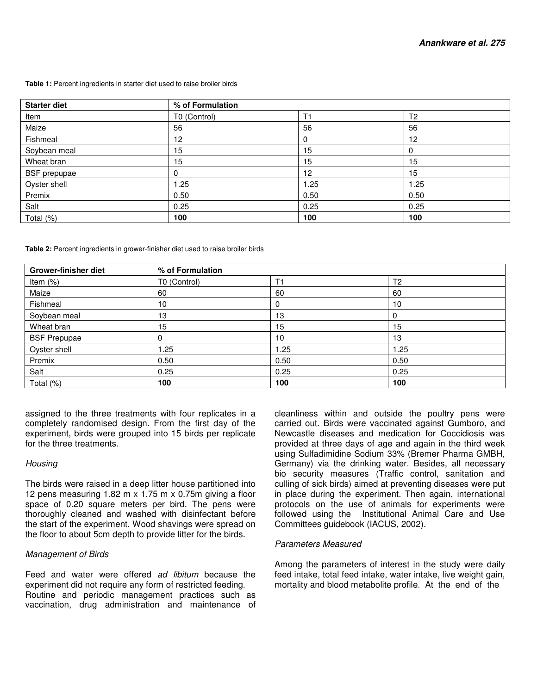#### **Table 1:** Percent ingredients in starter diet used to raise broiler birds

| <b>Starter diet</b> | % of Formulation |                 |                |
|---------------------|------------------|-----------------|----------------|
| Item                | T0 (Control)     | T1              | T <sub>2</sub> |
| Maize               | 56               | 56              | 56             |
| Fishmeal            | 12 <sup>2</sup>  | 0               | $12 \,$        |
| Soybean meal        | 15               | 15              | 0              |
| Wheat bran          | 15               | 15              | 15             |
| <b>BSF</b> prepupae | 0                | 12 <sup>2</sup> | 15             |
| Oyster shell        | 1.25             | 1.25            | 1.25           |
| Premix              | 0.50             | 0.50            | 0.50           |
| Salt                | 0.25             | 0.25            | 0.25           |
| Total (%)           | 100              | 100             | 100            |

**Table 2:** Percent ingredients in grower-finisher diet used to raise broiler birds

| Grower-finisher diet | % of Formulation |      |                |
|----------------------|------------------|------|----------------|
| Item $(\%)$          | T0 (Control)     | T1   | T <sub>2</sub> |
| Maize                | 60               | 60   | 60             |
| Fishmeal             | 10               |      | 10             |
| Soybean meal         | 13               | 13   | 0              |
| Wheat bran           | 15               | 15   | 15             |
| <b>BSF Prepupae</b>  | 0                | 10   | 13             |
| Oyster shell         | 25. ا            | 1.25 | 1.25           |
| Premix               | 0.50             | 0.50 | 0.50           |
| Salt                 | 0.25             | 0.25 | 0.25           |
| Total (%)            | 100              | 100  | 100            |

assigned to the three treatments with four replicates in a completely randomised design. From the first day of the experiment, birds were grouped into 15 birds per replicate for the three treatments.

# *Housing*

The birds were raised in a deep litter house partitioned into 12 pens measuring 1.82 m x 1.75 m x 0.75m giving a floor space of 0.20 square meters per bird. The pens were thoroughly cleaned and washed with disinfectant before the start of the experiment. Wood shavings were spread on the floor to about 5cm depth to provide litter for the birds.

# *Management of Birds*

Feed and water were offered *ad libitum* because the experiment did not require any form of restricted feeding. Routine and periodic management practices such as vaccination, drug administration and maintenance of cleanliness within and outside the poultry pens were carried out. Birds were vaccinated against Gumboro, and Newcastle diseases and medication for Coccidiosis was provided at three days of age and again in the third week using Sulfadimidine Sodium 33% (Bremer Pharma GMBH, Germany) via the drinking water. Besides, all necessary bio security measures (Traffic control, sanitation and culling of sick birds) aimed at preventing diseases were put in place during the experiment. Then again, international protocols on the use of animals for experiments were followed using the Institutional Animal Care and Use Committees guidebook (IACUS, 2002).

# *Parameters Measured*

Among the parameters of interest in the study were daily feed intake, total feed intake, water intake, live weight gain, mortality and blood metabolite profile. At the end of the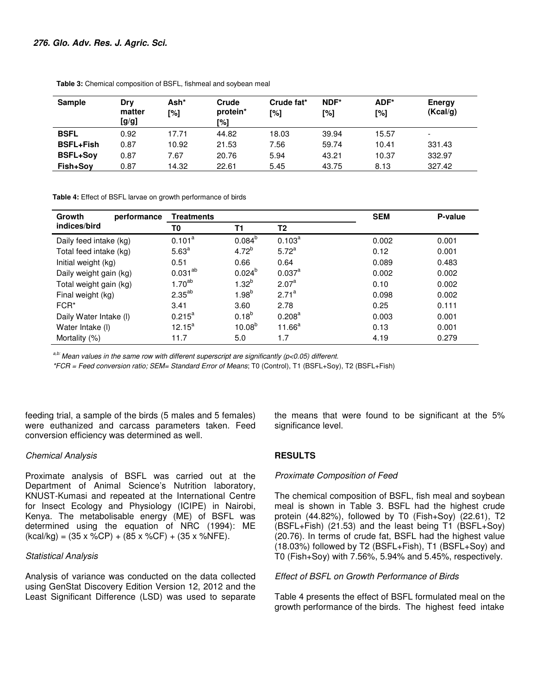| <b>Sample</b>    | Dry<br>matter<br>[g/g] | Ash*<br>[%] | Crude<br>protein*<br>[%] | Crude fat*<br>[%] | NDF*<br>[%] | ADF*<br>[%] | Energy<br>(Kcal/g)       |
|------------------|------------------------|-------------|--------------------------|-------------------|-------------|-------------|--------------------------|
| <b>BSFL</b>      | 0.92                   | 17.71       | 44.82                    | 18.03             | 39.94       | 15.57       | $\overline{\phantom{a}}$ |
| <b>BSFL+Fish</b> | 0.87                   | 10.92       | 21.53                    | 7.56              | 59.74       | 10.41       | 331.43                   |
| <b>BSFL+Sov</b>  | 0.87                   | 7.67        | 20.76                    | 5.94              | 43.21       | 10.37       | 332.97                   |
| Fish+Sov         | 0.87                   | 14.32       | 22.61                    | 5.45              | 43.75       | 8.13        | 327.42                   |

 **Table 3:** Chemical composition of BSFL, fishmeal and soybean meal

 **Table 4:** Effect of BSFL larvae on growth performance of birds

| Growth<br>performance  | <b>Treatments</b> |                    |                    | <b>SEM</b> | P-value |
|------------------------|-------------------|--------------------|--------------------|------------|---------|
| indices/bird           | T0                | <b>T1</b>          | T2                 |            |         |
| Daily feed intake (kg) | $0.101^a$         | $0.084^{b}$        | $0.103^{a}$        | 0.002      | 0.001   |
| Total feed intake (kg) | 5.63 <sup>a</sup> | $4.72^{b}$         | $5.72^{a}$         | 0.12       | 0.001   |
| Initial weight (kg)    | 0.51              | 0.66               | 0.64               | 0.089      | 0.483   |
| Daily weight gain (kg) | $0.031^{ab}$      | $0.024^{b}$        | $0.037^a$          | 0.002      | 0.002   |
| Total weight gain (kg) | $1.70^{ab}$       | $1.32^{b}$         | 2.07 <sup>a</sup>  | 0.10       | 0.002   |
| Final weight (kg)      | $2.35^{ab}$       | $1.98^{b}$         | $2.71^a$           | 0.098      | 0.002   |
| FCR*                   | 3.41              | 3.60               | 2.78               | 0.25       | 0.111   |
| Daily Water Intake (I) | $0.215^a$         | $0.18^{b}$         | 0.208 <sup>a</sup> | 0.003      | 0.001   |
| Water Intake (I)       | $12.15^a$         | 10.08 <sup>b</sup> | $11.66^a$          | 0.13       | 0.001   |
| Mortality (%)          | 11.7              | 5.0                | 1.7                | 4.19       | 0.279   |

*a,b: Mean values in the same row with different superscript are significantly (p<0.05) different.* 

*\*FCR = Feed conversion ratio; SEM= Standard Error of Means*; T0 (Control), T1 (BSFL+Soy), T2 (BSFL+Fish)

feeding trial, a sample of the birds (5 males and 5 females) were euthanized and carcass parameters taken. Feed conversion efficiency was determined as well.

# *Chemical Analysis*

Proximate analysis of BSFL was carried out at the Department of Animal Science's Nutrition laboratory, KNUST-Kumasi and repeated at the International Centre for Insect Ecology and Physiology (ICIPE) in Nairobi, Kenya. The metabolisable energy (ME) of BSFL was determined using the equation of NRC (1994): ME  $(kcal/kg) = (35 \times %CP) + (85 \times %CF) + (35 \times %NFE).$ 

#### *Statistical Analysis*

Analysis of variance was conducted on the data collected using GenStat Discovery Edition Version 12, 2012 and the Least Significant Difference (LSD) was used to separate

the means that were found to be significant at the 5% significance level.

# **RESULTS**

### *Proximate Composition of Feed*

The chemical composition of BSFL, fish meal and soybean meal is shown in Table 3. BSFL had the highest crude protein (44.82%), followed by T0 (Fish+Soy) (22.61), T2 (BSFL+Fish) (21.53) and the least being T1 (BSFL+Soy) (20.76). In terms of crude fat, BSFL had the highest value (18.03%) followed by T2 (BSFL+Fish), T1 (BSFL+Soy) and T0 (Fish+Soy) with 7.56%, 5.94% and 5.45%, respectively.

*Effect of BSFL on Growth Performance of Birds* 

Table 4 presents the effect of BSFL formulated meal on the growth performance of the birds. The highest feed intake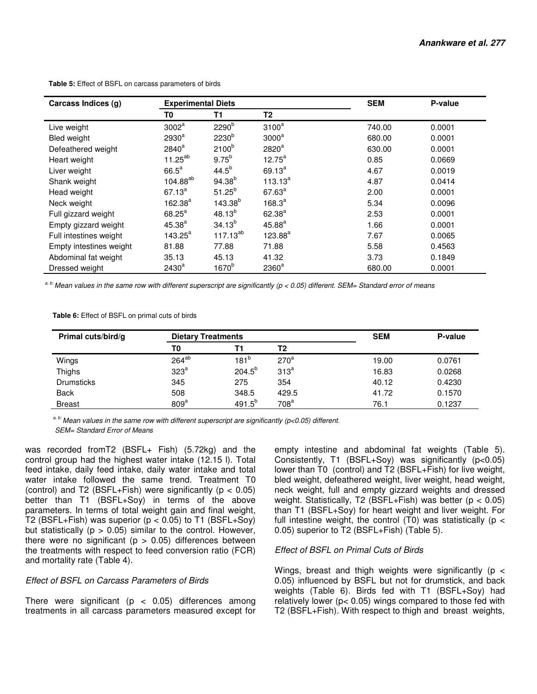| Carcass Indices (g)     | <b>Experimental Diets</b> |                     |                   | <b>SEM</b> | P-value |
|-------------------------|---------------------------|---------------------|-------------------|------------|---------|
|                         | T0                        | T1                  | T2                |            |         |
| Live weight             | $3002^a$                  | 2290 <sup>b</sup>   | $3100^a$          | 740.00     | 0.0001  |
| <b>Bled weight</b>      | 2930 <sup>a</sup>         | 2230 <sup>b</sup>   | 3000 <sup>a</sup> | 680.00     | 0.0001  |
| Defeathered weight      | $2840^a$                  | 2100 <sup>b</sup>   | 2820 <sup>a</sup> | 630.00     | 0.0001  |
| Heart weight            | $11.25^{ab}$              | $9.75^{b}$          | $12.75^a$         | 0.85       | 0.0669  |
| Liver weight            | $66.5^a$                  | $44.5^{b}$          | $69.13^{a}$       | 4.67       | 0.0019  |
| Shank weight            | 104.88 <sup>ab</sup>      | $94.38^{b}$         | $113.13^{a}$      | 4.87       | 0.0414  |
| Head weight             | $67.13^{a}$               | $51.25^{b}$         | $67.63^{a}$       | 2.00       | 0.0001  |
| Neck weight             | $162.38^{a}$              | 143.38 <sup>b</sup> | $168.3^{a}$       | 5.34       | 0.0096  |
| Full gizzard weight     | $68.25^a$                 | $48.13^{b}$         | $62.38^{a}$       | 2.53       | 0.0001  |
| Empty gizzard weight    | $45.38^{a}$               | $34.13^{b}$         | $45.88^{a}$       | 1.66       | 0.0001  |
| Full intestines weight  | $143.25^a$                | $117.13^{ab}$       | $123.88^{a}$      | 7.67       | 0.0065  |
| Empty intestines weight | 81.88                     | 77.88               | 71.88             | 5.58       | 0.4563  |
| Abdominal fat weight    | 35.13                     | 45.13               | 41.32             | 3.73       | 0.1849  |
| Dressed weight          | 2430 <sup>a</sup>         | 1670 <sup>b</sup>   | $2360^a$          | 680.00     | 0.0001  |

 **Table 5:** Effect of BSFL on carcass parameters of birds

 *a, b: Mean values in the same row with different superscript are significantly (p < 0.05) different. SEM= Standard error of means* 

 **Table 6:** Effect of BSFL on primal cuts of birds

| Primal cuts/bird/g | <b>Dietary Treatments</b> |                  |                  | <b>SEM</b> | P-value |
|--------------------|---------------------------|------------------|------------------|------------|---------|
|                    | T0                        | Τ1               | T2               |            |         |
| Wings              | $264^{ab}$                | 181 <sup>b</sup> | $270^a$          | 19.00      | 0.0761  |
| Thighs             | 323 <sup>a</sup>          | $204.5^{b}$      | 313 <sup>a</sup> | 16.83      | 0.0268  |
| <b>Drumsticks</b>  | 345                       | 275              | 354              | 40.12      | 0.4230  |
| <b>Back</b>        | 508                       | 348.5            | 429.5            | 41.72      | 0.1570  |
| <b>Breast</b>      | 809 <sup>a</sup>          | $491.5^{b}$      | 708 <sup>a</sup> | 76.1       | 0.1237  |

*a, b: Mean values in the same row with different superscript are significantly (p<0.05) different. SEM= Standard Error of Means* 

was recorded fromT2 (BSFL+ Fish) (5.72kg) and the control group had the highest water intake (12.15 l). Total feed intake, daily feed intake, daily water intake and total water intake followed the same trend. Treatment T0 (control) and T2 (BSFL+Fish) were significantly ( $p < 0.05$ ) better than T1 (BSFL+Soy) in terms of the above parameters. In terms of total weight gain and final weight, T2 (BSFL+Fish) was superior ( $p < 0.05$ ) to T1 (BSFL+Soy) but statistically ( $p > 0.05$ ) similar to the control. However, there were no significant ( $p > 0.05$ ) differences between the treatments with respect to feed conversion ratio (FCR) and mortality rate (Table 4).

# *Effect of BSFL on Carcass Parameters of Birds*

There were significant ( $p < 0.05$ ) differences among treatments in all carcass parameters measured except for empty intestine and abdominal fat weights (Table 5). Consistently, T1 (BSFL+Soy) was significantly (p<0.05) lower than T0 (control) and T2 (BSFL+Fish) for live weight, bled weight, defeathered weight, liver weight, head weight, neck weight, full and empty gizzard weights and dressed weight. Statistically, T2 (BSFL+Fish) was better  $(p < 0.05)$ than T1 (BSFL+Soy) for heart weight and liver weight. For full intestine weight, the control  $(T_0)$  was statistically (p < 0.05) superior to T2 (BSFL+Fish) (Table 5).

# *Effect of BSFL on Primal Cuts of Birds*

Wings, breast and thigh weights were significantly ( $p <$ 0.05) influenced by BSFL but not for drumstick, and back weights (Table 6). Birds fed with T1 (BSFL+Soy) had relatively lower (p< 0.05) wings compared to those fed with T2 (BSFL+Fish). With respect to thigh and breast weights,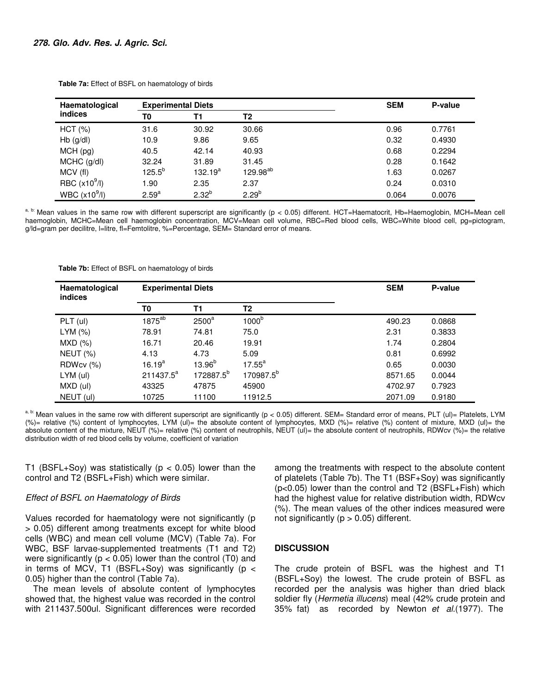| Haematological            | <b>Experimental Diets</b> |              |                      | <b>SEM</b> | P-value |
|---------------------------|---------------------------|--------------|----------------------|------------|---------|
| indices                   | T0                        | Τ1           | T <sub>2</sub>       |            |         |
| HCT (%)                   | 31.6                      | 30.92        | 30.66                | 0.96       | 0.7761  |
| $Hb$ (g/dl)               | 10.9                      | 9.86         | 9.65                 | 0.32       | 0.4930  |
| MCH(pg)                   | 40.5                      | 42.14        | 40.93                | 0.68       | 0.2294  |
| $MCHC$ (g/dl)             | 32.24                     | 31.89        | 31.45                | 0.28       | 0.1642  |
| MCV (fl)                  | $125.5^{b}$               | $132.19^{a}$ | 129.98 <sup>ab</sup> | 1.63       | 0.0267  |
| RBC (x10 <sup>9</sup> /I) | 1.90                      | 2.35         | 2.37                 | 0.24       | 0.0310  |
| WBC $(x10^9/l)$           | 2.59 <sup>a</sup>         | $2.32^{b}$   | $2.29^{b}$           | 0.064      | 0.0076  |

 **Table 7a:** Effect of BSFL on haematology of birds

a, b: Mean values in the same row with different superscript are significantly (p < 0.05) different. HCT=Haematocrit, Hb=Haemoglobin, MCH=Mean cell haemoglobin, MCHC=Mean cell haemoglobin concentration, MCV=Mean cell volume, RBC=Red blood cells, WBC=White blood cell, pg=pictogram, g/ld=gram per decilitre, l=litre, fl=Femtolitre, %=Percentage, SEM= Standard error of means.

 **Table 7b:** Effect of BSFL on haematology of birds

| Haematological<br><b>indices</b> | <b>Experimental Diets</b> |                       |                       | <b>SEM</b> | P-value |
|----------------------------------|---------------------------|-----------------------|-----------------------|------------|---------|
|                                  | T0                        | Τ1                    | T2                    |            |         |
| PLT (ul)                         | 1875 <sup>ab</sup>        | $2500^a$              | 1000 <sup>b</sup>     | 490.23     | 0.0868  |
| LYM (%)                          | 78.91                     | 74.81                 | 75.0                  | 2.31       | 0.3833  |
| MXD(%)                           | 16.71                     | 20.46                 | 19.91                 | 1.74       | 0.2804  |
| <b>NEUT (%)</b>                  | 4.13                      | 4.73                  | 5.09                  | 0.81       | 0.6992  |
| RDWcv (%)                        | $16.19^{a}$               | $13.96^{b}$           | $17.55^{\circ}$       | 0.65       | 0.0030  |
| $LYM$ (ul)                       | $211437.5^a$              | 172887.5 <sup>b</sup> | 170987.5 <sup>b</sup> | 8571.65    | 0.0044  |
| MXD (ul)                         | 43325                     | 47875                 | 45900                 | 4702.97    | 0.7923  |
| NEUT (ul)                        | 10725                     | 11100                 | 11912.5               | 2071.09    | 0.9180  |

a, b: Mean values in the same row with different superscript are significantly ( $p < 0.05$ ) different. SEM= Standard error of means, PLT (ul)= Platelets, LYM (%)= relative (%) content of lymphocytes, LYM (ul)= the absolute content of lymphocytes, MXD (%)= relative (%) content of mixture, MXD (ul)= the absolute content of the mixture, NEUT (%)= relative (%) content of neutrophils, NEUT (ul)= the absolute content of neutrophils, RDWcv (%)= the relative distribution width of red blood cells by volume, coefficient of variation

T1 (BSFL+Soy) was statistically ( $p < 0.05$ ) lower than the control and T2 (BSFL+Fish) which were similar.

# *Effect of BSFL on Haematology of Birds*

Values recorded for haematology were not significantly (p > 0.05) different among treatments except for white blood cells (WBC) and mean cell volume (MCV) (Table 7a). For WBC, BSF larvae-supplemented treatments (T1 and T2) were significantly ( $p < 0.05$ ) lower than the control (T0) and in terms of MCV, T1 (BSFL+Soy) was significantly ( $p <$ 0.05) higher than the control (Table 7a).

The mean levels of absolute content of lymphocytes showed that, the highest value was recorded in the control with 211437.500ul. Significant differences were recorded among the treatments with respect to the absolute content of platelets (Table 7b). The T1 (BSF+Soy) was significantly (p<0.05) lower than the control and T2 (BSFL+Fish) which had the highest value for relative distribution width, RDWcv (%). The mean values of the other indices measured were not significantly ( $p > 0.05$ ) different.

# **DISCUSSION**

The crude protein of BSFL was the highest and T1 (BSFL+Soy) the lowest. The crude protein of BSFL as recorded per the analysis was higher than dried black soldier fly (*Hermetia illucens*) meal (42% crude protein and 35% fat) as recorded by Newton *et al.*(1977). The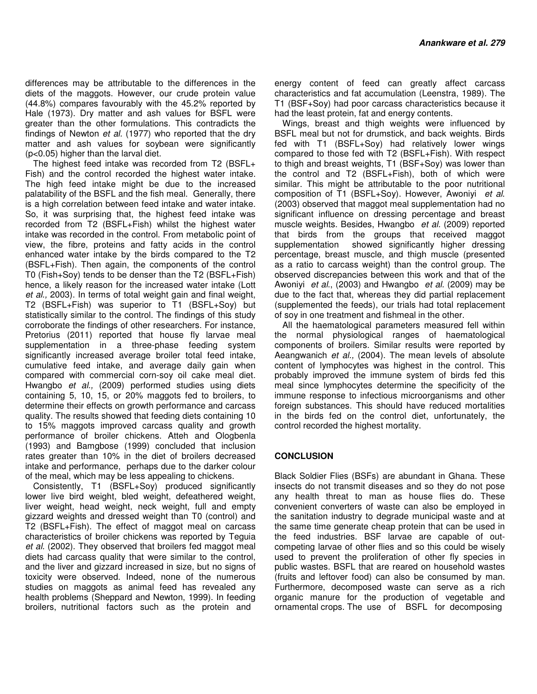differences may be attributable to the differences in the diets of the maggots. However, our crude protein value (44.8%) compares favourably with the 45.2% reported by Hale (1973). Dry matter and ash values for BSFL were greater than the other formulations. This contradicts the findings of Newton *et al.* (1977) who reported that the dry matter and ash values for soybean were significantly (p<0.05) higher than the larval diet.

The highest feed intake was recorded from T2 (BSFL+ Fish) and the control recorded the highest water intake. The high feed intake might be due to the increased palatability of the BSFL and the fish meal. Generally, there is a high correlation between feed intake and water intake. So, it was surprising that, the highest feed intake was recorded from T2 (BSFL+Fish) whilst the highest water intake was recorded in the control. From metabolic point of view, the fibre, proteins and fatty acids in the control enhanced water intake by the birds compared to the T2 (BSFL+Fish). Then again, the components of the control T0 (Fish+Soy) tends to be denser than the T2 (BSFL+Fish) hence, a likely reason for the increased water intake (Lott *et al.,* 2003). In terms of total weight gain and final weight, T2 (BSFL+Fish) was superior to T1 (BSFL+Soy) but statistically similar to the control. The findings of this study corroborate the findings of other researchers. For instance, Pretorius (2011) reported that house fly larvae meal supplementation in a three-phase feeding system significantly increased average broiler total feed intake, cumulative feed intake, and average daily gain when compared with commercial corn-soy oil cake meal diet. Hwangbo *et al.,* (2009) performed studies using diets containing 5, 10, 15, or 20% maggots fed to broilers, to determine their effects on growth performance and carcass quality. The results showed that feeding diets containing 10 to 15% maggots improved carcass quality and growth performance of broiler chickens. Atteh and Ologbenla (1993) and Bamgbose (1999) concluded that inclusion rates greater than 10% in the diet of broilers decreased intake and performance, perhaps due to the darker colour of the meal, which may be less appealing to chickens.

Consistently, T1 (BSFL+Soy) produced significantly lower live bird weight, bled weight, defeathered weight, liver weight, head weight, neck weight, full and empty gizzard weights and dressed weight than T0 (control) and T2 (BSFL+Fish). The effect of maggot meal on carcass characteristics of broiler chickens was reported by Teguia et al. (2002). They observed that broilers fed maggot meal diets had carcass quality that were similar to the control, and the liver and gizzard increased in size, but no signs of toxicity were observed. Indeed, none of the numerous studies on maggots as animal feed has revealed any health problems (Sheppard and Newton, 1999). In feeding broilers, nutritional factors such as the protein and

energy content of feed can greatly affect carcass characteristics and fat accumulation (Leenstra, 1989). The T1 (BSF+Soy) had poor carcass characteristics because it had the least protein, fat and energy contents.

Wings, breast and thigh weights were influenced by BSFL meal but not for drumstick, and back weights. Birds fed with T1 (BSFL+Soy) had relatively lower wings compared to those fed with T2 (BSFL+Fish). With respect to thigh and breast weights, T1 (BSF+Soy) was lower than the control and T2 (BSFL+Fish), both of which were similar. This might be attributable to the poor nutritional composition of T1 (BSFL+Soy). However, Awoniyi *et al*. (2003) observed that maggot meal supplementation had no significant influence on dressing percentage and breast muscle weights. Besides, Hwangbo *et al.* (2009) reported that birds from the groups that received maggot supplementation showed significantly higher dressing percentage, breast muscle, and thigh muscle (presented as a ratio to carcass weight) than the control group. The observed discrepancies between this work and that of the Awoniyi *et al*., (2003) and Hwangbo *et al.* (2009) may be due to the fact that, whereas they did partial replacement (supplemented the feeds), our trials had total replacement of soy in one treatment and fishmeal in the other.

All the haematological parameters measured fell within the normal physiological ranges of haematological components of broilers. Similar results were reported by Aeangwanich *et al.,* (2004). The mean levels of absolute content of lymphocytes was highest in the control. This probably improved the immune system of birds fed this meal since lymphocytes determine the specificity of the immune response to infectious microorganisms and other foreign substances. This should have reduced mortalities in the birds fed on the control diet, unfortunately, the control recorded the highest mortality.

# **CONCLUSION**

Black Soldier Flies (BSFs) are abundant in Ghana. These insects do not transmit diseases and so they do not pose any health threat to man as house flies do. These convenient converters of waste can also be employed in the sanitation industry to degrade municipal waste and at the same time generate cheap protein that can be used in the feed industries. BSF larvae are capable of outcompeting larvae of other flies and so this could be wisely used to prevent the proliferation of other fly species in public wastes. BSFL that are reared on household wastes (fruits and leftover food) can also be consumed by man. Furthermore, decomposed waste can serve as a rich organic manure for the production of vegetable and ornamental crops. The use of BSFL for decomposing